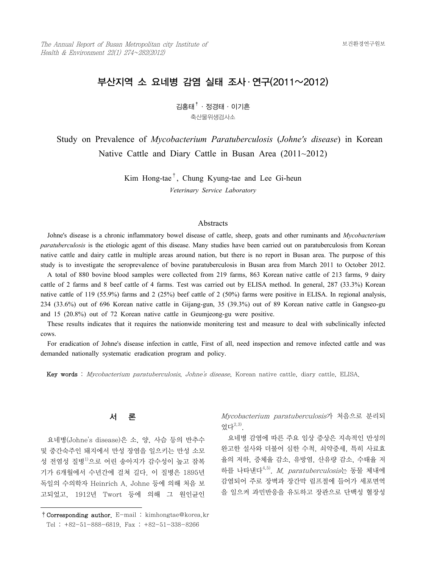# 부산지역 소 요네병 감염 실태 조사 ․ 연구(2011~2012)

김홍태†·정경태·이기흔 축산물위생검사소

 Study on Prevalence of *Mycobacterium Paratuberculosis* (*Johne's disease*) in Korean Native Cattle and Diary Cattle in Busan Area (2011~2012)

> Kim Hong-tae†, Chung Kyung-tae and Lee Gi-heun *Veterinary Service Laboratory*

#### **Abstracts**

 Johne's disease is a chronic inflammatory bowel disease of cattle, sheep, goats and other ruminants and *Mycobacterium paratuberculosis* is the etiologic agent of this disease. Many studies have been carried out on paratuberculosis from Korean native cattle and dairy cattle in multiple areas around nation, but there is no report in Busan area. The purpose of this study is to investigate the seroprevalence of bovine paratuberculosis in Busan area from March 2011 to October 2012.

 A total of 880 bovine blood samples were collected from 219 farms, 863 Korean native cattle of 213 farms, 9 dairy cattle of 2 farms and 8 beef cattle of 4 farms. Test was carried out by ELISA method. In general, 287 (33.3%) Korean native cattle of 119 (55.9%) farms and 2 (25%) beef cattle of 2 (50%) farms were positive in ELISA. In regional analysis, 234 (33.6%) out of 696 Korean native cattle in Gijang-gun, 35 (39.3%) out of 89 Korean native cattle in Gangseo-gu and 15 (20.8%) out of 72 Korean native cattle in Geumjeong-gu were positive.

 These results indicates that it requires the nationwide monitering test and measure to deal with subclinically infected cows.

 For eradication of Johne's disease infection in cattle, First of all, need inspection and remove infected cattle and was demanded nationally systematic eradication program and policy.

Key words : Mycobacterium paratuberculosis, Johne's disease, Korean native cattle, diary cattle, ELISA.

서 론

 요네병(Johne's disease)은 소, 양, 사슴 등의 반추수 및 중간숙주인 돼지에서 만성 장염을 일으키는 만성 소모 성 전염성 질병1)으로 어린 송아지가 감수성이 높고 잠복 기가 6개월에서 수년간에 걸쳐 길다. 이 질병은 1895년 독일의 수의학자 Heinrich A. Johne 등에 의해 처음 보 고되었고, 1912년 Twort 등에 의해 그 원인균인

Mycobacterium paratuberculosis가 처음으로 분리되 었다2,3).

 요네병 감염에 따른 주요 임상 증상은 지속적인 만성의 완고한 설사와 더불어 심한 수척, 쇠약증세, 특히 사료효 율의 저하, 증체율 감소, 유방염, 산유량 감소, 수태율 저 하를 나타낸다4,5). M. paratuberculosis는 동물 체내에 감염되어 주로 장벽과 장간막 림프절에 들어가 세포면역 을 일으켜 과민반응을 유도하고 장관으로 단백성 혈장성

<sup>†</sup>Corresponding author. E-mail : kimhongtae@korea.kr Tel : +82-51-888-6819, Fax : +82-51-338-8266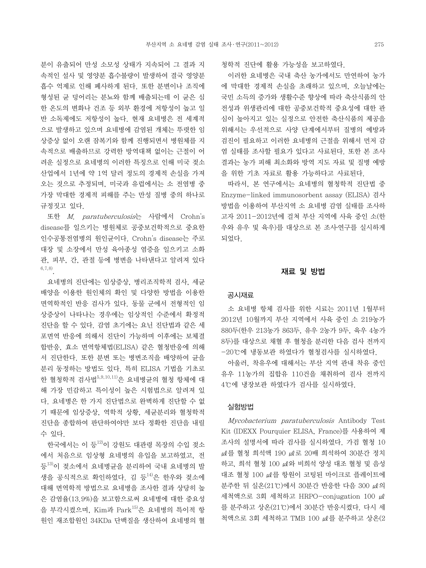분이 유출되어 만성 소모성 상태가 지속되어 그 결과 지 속적인 설사 및 영양분 흡수불량이 발생하여 결국 영양분 흡수 억제로 인해 폐사하게 된다. 또한 분변이나 조직에 형성된 균 덩어리는 분뇨와 함께 배출되는데 이 균은 심 한 온도의 변화나 건조 등 외부 환경에 저항성이 높고 일 반 소독제에도 저항성이 높다. 현재 요네병은 전 세계적 으로 발생하고 있으며 요네병에 감염된 개체는 뚜렷한 임 상증상 없이 오랜 잠복기와 함께 진행되면서 병원체를 지 속적으로 배출하므로 강력한 방역대책 없이는 근절이 어 려운 실정으로 요네병의 이러한 특징으로 인해 미국 젖소 산업에서 1년에 약 1억 달러 정도의 경제적 손실을 가져 오는 것으로 추정되며, 미국과 유럽에서는 소 전염병 중 가장 막대한 경제적 피해를 주는 만성 질병 중의 하나로 규정짓고 있다.

 또한 M. paratuberculosis는 사람에서 Crohn's disease를 일으키는 병원체로 공중보건학적으로 중요한 인수공통전염병의 원인균이다. Crohn's disease는 주로 대장 및 소장에서 만성 육아종성 염증을 일으키고 소화 관, 피부, 간, 관절 등에 병변을 나타낸다고 알려져 있다 6,7,8).

 요네병의 진단에는 임상증상, 병리조직학적 검사, 세균 배양을 이용한 원인체의 확인 및 다양한 방법을 이용한 면역학적인 반응 검사가 있다. 동물 군에서 전형적인 임 상증상이 나타나는 경우에는 임상적인 수준에서 확정적 진단을 할 수 있다. 감염 초기에는 요닌 진단법과 같은 세 포면역 반응에 의해서 진단이 가능하며 이후에는 보체결 합반응, 효소 면역항체법(ELISA) 같은 혈청반응에 의해 서 진단한다. 또한 분변 또는 병변조직을 배양하여 균을 분리 동정하는 방법도 있다. 특히 ELISA 기법을 기초로 한 혈청학적 검사법 $^{5,9,10,11)}$ 은 요네병균의 혈청 항체에 대 해 가장 민감하고 특이성이 높은 시험법으로 알려져 있 다. 요네병은 한 가지 진단법으로 완벽하게 진단할 수 없 기 때문에 임상증상, 역학적 상황, 세균분리와 혈청학적 진단을 종합하여 판단하여야만 보다 정확한 진단을 내릴 수 있다.

한국에서는 이 등 $^{12}$ 이 강원도 대관령 목장의 수입 젖소 에서 처음으로 임상형 요네병의 유입을 보고하였고, 전 등<sup>13)</sup>이 젖소에서 요네병균을 분리하여 국내 요네병의 발 생을 공식적으로 확인하였다. 김 등<sup>14)</sup>은 한우와 젖소에 대해 면역학적 방법으로 요네병을 조사한 결과 상당히 높 은 감염율(13.9%)을 보고함으로써 요네병에 대한 중요성 을 부각시켰으며, Kim과 Park15)은 요네병의 특이적 항 원인 재조합원인 34KDa 단백질을 생산하여 요네병의 혈 청학적 진단에 활용 가능성을 보고하였다.

 이러한 요네병은 국내 축산 농가에서도 만연하여 농가 에 막대한 경제적 손실을 초래하고 있으며, 오늘날에는 국민 소득의 증가와 생활수준 향상에 따라 축산식품의 안 전성과 위생관리에 대한 공중보건학적 중요성에 대한 관 심이 높아지고 있는 실정으로 안전한 축산식품의 제공을 위해서는 우선적으로 사양 단계에서부터 질병의 예방과 검진이 필요하고 이러한 요네병의 근절을 위해서 먼저 감 염 실태를 조사할 필요가 있다고 사료된다. 또한 본 조사 결과는 농가 피해 최소화와 방역 지도 자료 및 질병 예방 을 위한 기초 자료로 활용 가능하다고 사료된다.

 따라서, 본 연구에서는 요네병의 혈청학적 진단법 중 Enzyme-linked immunosorbent assay (ELISA) 검사 방법을 이용하여 부산지역 소 요네병 감염 실태를 조사하 고자 2011-2012년에 걸쳐 부산 지역에 사육 중인 소(한 우와 유우 및 육우)를 대상으로 본 조사․연구를 실시하게 되었다.

## 재료 및 방법

#### 공시재료

 소 요네병 항체 검사를 위한 시료는 2011년 1월부터 2012년 10월까지 부산 지역에서 사육 중인 소 219농가 880두(한우 213농가 863두, 유우 2농가 9두, 육우 4농가 8두)를 대상으로 채혈 후 혈청을 분리한 다음 검사 전까지 -20℃에 냉동보관 하였다가 혈청검사를 실시하였다.

 아울러, 착유우에 대해서는 부산 지역 관내 착유 중인 유우 11농가의 집합유 110건을 채취하여 검사 전까지 4℃에 냉장보관 하였다가 검사를 실시하였다.

### 실험방법

 Mycobacterium paratuberculosis Antibody Test Kit (IDEXX Pourquier ELISA, France)를 사용하여 제 조사의 설명서에 따라 검사를 실시하였다. 가검 혈청 10  $μl$ 를 혈청 희석액 190  $μl$ 로 20배 희석하여 30분간 정치 하고, 희석 혈청 100 ㎕와 비희석 양성 대조 혈청 및 음성  $H = 26$  제품 한 사이 코팅된 마이크로 플레이트에 분주한 뒤 실온(21℃)에서 30분간 반응한 다음 300 ㎕의 세척액으로 3회 세척하고 HRPO-conjugation 100 ㎕ 를 분주하고 상온(21℃)에서 30분간 반응시켰다. 다시 세 척액으로 3회 세척하고 TMB 100 ㎕를 분주하고 상온(2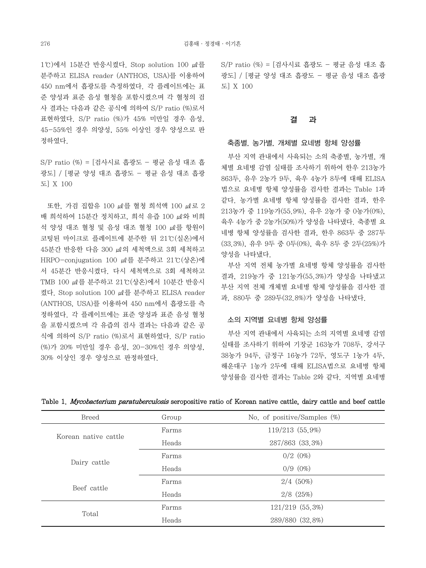1℃)에서 15분간 반응시켰다. Stop solution 100 ㎕를 분주하고 ELISA reader (ANTHOS, USA)를 이용하여 450 nm에서 흡광도를 측정하였다. 각 플레이트에는 표 준 양성과 표준 음성 혈청을 포함시켰으며 각 혈청의 검 사 결과는 다음과 같은 공식에 의하여 S/P ratio (%)로서 표현하였다. S/P ratio (%)가 45% 미만일 경우 음성, 45-55%인 경우 의양성, 55% 이상인 경우 양성으로 판 정하였다.

S/P ratio (%) = [검사시료 흡광도 - 평균 음성 대조 흡 광도] / [평균 양성 대조 흡광도 - 평균 음성 대조 흡광 도] X 100

 또한, 가검 집합유 100 ㎕를 혈청 희석액 100 ㎕로 2 배 희석하여 15분간 정치하고, 희석 유즙 100 ㎕와 비희 석 양성 대조 혈청 및 음성 대조 혈청 100 ㎕를 항원이 코팅된 마이크로 플레이트에 분주한 뒤 21℃(실온)에서  $45$  분간 반응한 다음 300  $\mu$  의 세척액으로 3회 세척하고 HRPO-conjugation 100 ㎕를 분주하고 21℃(상온)에 서 45분간 반응시켰다. 다시 세척액으로 3회 세척하고 TMB 100 ㎕를 분주하고 21℃(상온)에서 10분간 반응시 켰다. Stop solution 100 ㎕를 분주하고 ELISA reader (ANTHOS, USA)를 이용하여 450 nm에서 흡광도를 측 정하였다. 각 플레이트에는 표준 양성과 표준 음성 혈청 을 포함시켰으며 각 유즙의 검사 결과는 다음과 같은 공 식에 의하여 S/P ratio (%)로서 표현하였다. S/P ratio (%)가 20% 미만일 경우 음성, 20-30%인 경우 의양성, 30% 이상인 경우 양성으로 판정하였다.

S/P ratio (%) = [검사시료 흡광도 - 평균 음성 대조 흡 광도] / [평균 양성 대조 흡광도 - 평균 음성 대조 흡광 도] X 100

# 결 과

#### 축종별, 농가별, 개체별 요네병 항체 양성률

 부산 지역 관내에서 사육되는 소의 축종별, 농가별, 개 체별 요네병 감염 실태를 조사하기 위하여 한우 213농가 863두, 유우 2농가 9두, 육우 4농가 8두에 대해 ELISA 법으로 요네병 항체 양성률을 검사한 결과는 Table 1과 같다. 농가별 요네병 항체 양성률을 검사한 결과, 한우 213농가 중 119농가(55.9%), 유우 2농가 중 0농가(0%), 육우 4농가 중 2농가(50%)가 양성을 나타냈다. 축종별 요 네병 항체 양성률을 검사한 결과, 한우 863두 중 287두 (33.3%), 유우 9두 중 0두(0%), 육우 8두 중 2두(25%)가 양성을 나타냈다.

 부산 지역 전체 농가별 요네병 항체 양성률을 검사한 결과, 219농가 중 121농가(55.3%)가 양성을 나타냈고 부산 지역 전체 개체별 요네병 항체 양성률을 검사한 결 과, 880두 중 289두(32.8%)가 양성을 나타냈다.

#### 소의 지역별 요네병 항체 양성률

 부산 지역 관내에서 사육되는 소의 지역별 요네병 감염 실태를 조사하기 위하여 기장군 163농가 708두, 강서구 38농가 94두, 금정구 16농가 72두, 영도구 1농가 4두, 해운대구 1농가 2두에 대해 ELISA법으로 요네병 항체 양성률을 검사한 결과는 Table 2와 같다. 지역별 요네병

| <b>Breed</b>         | Group | No. of positive/Samples $(\%)$ |
|----------------------|-------|--------------------------------|
| Korean native cattle | Farms | 119/213 (55.9%)                |
|                      | Heads | 287/863 (33.3%)                |
| Dairy cattle         | Farms | $0/2$ $(0%)$                   |
|                      | Heads | $0/9$ $(0%)$                   |
| Beef cattle          | Farms | $2/4$ (50%)                    |
|                      | Heads | $2/8$ $(25%)$                  |
| Total                | Farms | $121/219$ $(55,3%)$            |
|                      | Heads | 289/880 (32.8%)                |

Table 1. Mycobacterium paratuberculosis seropositive ratio of Korean native cattle, dairy cattle and beef cattle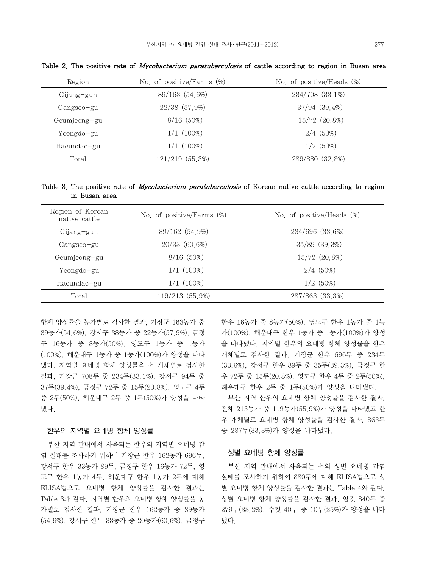| Region       | No. of positive/Farms $(\%)$ | No. of positive/Heads $(\%)$ |
|--------------|------------------------------|------------------------------|
| Gijang-gun   | 89/163 (54.6%)               | 234/708 (33.1%)              |
| Gangseo-gu   | $22/38$ $(57.9%)$            | $37/94$ $(39.4\%)$           |
| Geumjeong-gu | 8/16(50%)                    | 15/72 (20.8%)                |
| Yeongdo-gu   | $1/1$ $(100\%)$              | $2/4$ (50%)                  |
| Haeundae-gu  | $1/1$ $(100\%)$              | $1/2$ (50%)                  |
| Total        | 121/219 (55.3%)              | 289/880 (32.8%)              |

Table 2. The positive rate of *Mycobacterium paratuberculosis* of cattle according to region in Busan area

Table 3. The positive rate of *Mycobacterium paratuberculosis* of Korean native cattle according to region in Busan area

| Region of Korean<br>native cattle | No. of positive/Farms $(\%)$ | No. of positive/Heads $(\%)$ |
|-----------------------------------|------------------------------|------------------------------|
| Gijang-gun                        | 89/162 (54.9%)               | 234/696 (33.6%)              |
| Gangseo-gu                        | 20/33 (60.6%)                | 35/89 (39.3%)                |
| Geumjeong-gu                      | $8/16$ (50%)                 | 15/72 (20.8%)                |
| Yeongdo-gu                        | $1/1$ $(100\%)$              | $2/4$ (50%)                  |
| Haeundae-gu                       | $1/1(100\%)$                 | $1/2$ (50%)                  |
| Total                             | 119/213 (55.9%)              | 287/863 (33.3%)              |

항체 양성률을 농가별로 검사한 결과, 기장군 163농가 중 89농가(54.6%), 강서구 38농가 중 22농가(57.9%), 금정 구 16농가 중 8농가(50%), 영도구 1농가 중 1농가 (100%), 해운대구 1농가 중 1농가(100%)가 양성을 나타 냈다. 지역별 요네병 항체 양성률을 소 개체별로 검사한 결과, 기장군 708두 중 234두(33.1%), 강서구 94두 중 37두(39.4%), 금정구 72두 중 15두(20.8%), 영도구 4두 중 2두(50%), 해운대구 2두 중 1두(50%)가 양성을 나타 냈다.

## 한우의 지역별 요네병 항체 양성률

 부산 지역 관내에서 사육되는 한우의 지역별 요네병 감 염 실태를 조사하기 위하여 기장군 한우 162농가 696두, 강서구 한우 33농가 89두, 금정구 한우 16농가 72두, 영 도구 한우 1농가 4두, 해운대구 한우 1농가 2두에 대해 ELISA법으로 요네병 항체 양성률을 검사한 결과는 Table 3과 같다. 지역별 한우의 요네병 항체 양성률을 농 가별로 검사한 결과, 기장군 한우 162농가 중 89농가 (54.9%), 강서구 한우 33농가 중 20농가(60.6%), 금정구 한우 16농가 중 8농가(50%), 영도구 한우 1농가 중 1농 가(100%), 해운대구 한우 1농가 중 1농가(100%)가 양성 을 나타냈다. 지역별 한우의 요네병 항체 양성률을 한우 개체별로 검사한 결과, 기장군 한우 696두 중 234두 (33.6%), 강서구 한우 89두 중 35두(39.3%), 금정구 한 우 72두 중 15두(20.8%), 영도구 한우 4두 중 2두(50%), 해운대구 한우 2두 중 1두(50%)가 양성을 나타냈다.

 부산 지역 한우의 요네병 항체 양성률을 검사한 결과, 전체 213농가 중 119농가(55.9%)가 양성을 나타냈고 한 우 개체별로 요네병 항체 양성률을 검사한 결과, 863두 중 287두(33.3%)가 양성을 나타냈다.

## 성별 요네병 항체 양성률

 부산 지역 관내에서 사육되는 소의 성별 요네병 감염 실태를 조사하기 위하여 880두에 대해 ELISA법으로 성 별 요네병 항체 양성률을 검사한 결과는 Table 4와 같다. 성별 요네병 항체 양성률을 검사한 결과, 암컷 840두 중 279두(33.2%), 수컷 40두 중 10두(25%)가 양성을 나타 냈다.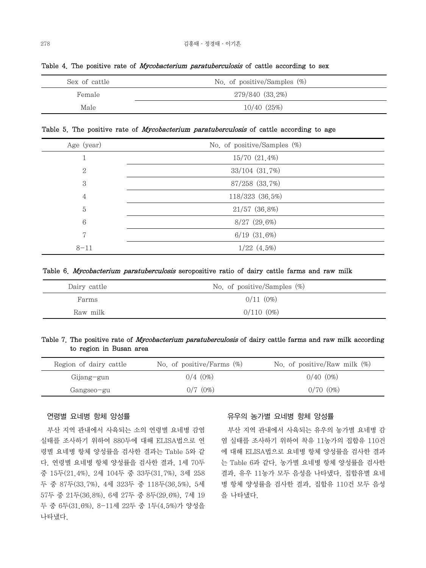| Sex of cattle | No. of positive/Samples $(\%)$ |  |
|---------------|--------------------------------|--|
| Female        | 279/840 (33.2%)                |  |
| Male          | $10/40$ $(25%)$                |  |

Table 4. The positive rate of *Mycobacterium paratuberculosis* of cattle according to sex

Table 5. The positive rate of *Mycobacterium paratuberculosis* of cattle according to age

| Age (year)      | No. of positive/Samples $(\%)$ |
|-----------------|--------------------------------|
|                 | 15/70 (21.4%)                  |
| 2               | 33/104 (31.7%)                 |
| 3               | 87/258 (33.7%)                 |
| 4               | 118/323 (36.5%)                |
| 5               | 21/57 (36.8%)                  |
| $6\phantom{1}6$ | $8/27$ (29.6%)                 |
| 7               | $6/19$ $(31.6%)$               |
| $8 - 11$        | $1/22$ $(4.5%)$                |

## Table 6. Mycobacterium paratuberculosis seropositive ratio of dairy cattle farms and raw milk

| Dairy cattle | No. of positive/Samples $(\%)$ |  |
|--------------|--------------------------------|--|
| Farms        | $0/11(0\%)$                    |  |
| Raw milk     | $0/110(0\%)$                   |  |

Table 7. The positive rate of Mycobacterium paratuberculosis of dairy cattle farms and raw milk according to region in Busan area

| Region of dairy cattle | No. of positive/Farms $(\%)$ | No. of positive/Raw milk $(\%)$ |
|------------------------|------------------------------|---------------------------------|
| Gijang-gun             | $0/4$ (0%)                   | $0/40(0\%)$                     |
| Gangseo-gu             | $0/7$ $(0%)$                 | $0/70(0\%)$                     |

## 연령별 요네병 항체 양성률

 부산 지역 관내에서 사육되는 소의 연령별 요네병 감염 실태를 조사하기 위하여 880두에 대해 ELISA법으로 연 령별 요네병 항체 양성률을 검사한 결과는 Table 5와 같 다. 연령별 요네병 항체 양성률을 검사한 결과, 1세 70두 중 15두(21.4%), 2세 104두 중 33두(31.7%), 3세 258 두 중 87두(33.7%), 4세 323두 중 118두(36.5%), 5세 57두 중 21두(36.8%), 6세 27두 중 8두(29.6%), 7세 19 두 중 6두(31.6%), 8-11세 22두 중 1두(4.5%)가 양성을 나타냈다.

## 유우의 농가별 요네병 항체 양성률

 부산 지역 관내에서 사육되는 유우의 농가별 요네병 감 염 실태를 조사하기 위하여 착유 11농가의 집합유 110건 에 대해 ELISA법으로 요네병 항체 양성률을 검사한 결과 는 Table 6과 같다. 농가별 요네병 항체 양성률을 검사한 결과, 유우 11농가 모두 음성을 나타냈다. 집합유별 요네 병 항체 양성률을 검사한 결과, 집합유 110건 모두 음성 을 나타냈다.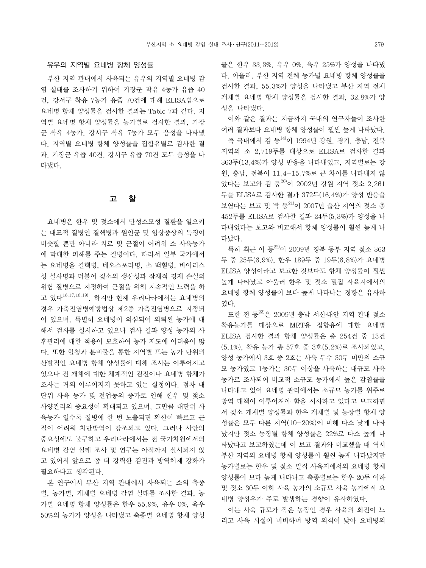## 유우의 지역별 요네병 항체 양성률

 부산 지역 관내에서 사육되는 유우의 지역별 요네병 감 염 실태를 조사하기 위하여 기장군 착유 4농가 유즙 40 건, 강서구 착유 7농가 유즙 70건에 대해 ELISA법으로 요네병 항체 양성률을 검사한 결과는 Table 7과 같다. 지 역별 요네병 항체 양성률을 농가별로 검사한 결과, 기장 군 착유 4농가, 강서구 착유 7농가 모두 음성을 나타냈 다. 지역별 요네병 항체 양성률을 집합유별로 검사한 결 과, 기장군 유즙 40건, 강서구 유즙 70건 모두 음성을 나 타냈다.

#### 고 찰

 요네병은 한우 및 젖소에서 만성소모성 질환을 일으키 는 대표적 질병인 결핵병과 원인균 및 임상증상의 특징이 비슷할 뿐만 아니라 치료 및 근절이 어려워 소 사육농가 에 막대한 피해를 주는 질병이다. 따라서 일부 국가에서 는 요네병을 결핵병, 네오스포라병, 소 백혈병, 바이러스 성 설사병과 더불어 젖소의 생산성과 잠재적 경제 손실의 위험 질병으로 지정하여 근절을 위해 지속적인 노력을 하 고 있다16,17,18,19). 하지만 현재 우리나라에서는 요네병의 경우 가축전염병예방법상 제2종 가축전염병으로 지정되 어 있으며, 특별히 요네병이 의심되어 의뢰된 농가에 대 해서 검사를 실시하고 있으나 검사 결과 양성 농가의 사 후관리에 대한 적용이 모호하여 농가 지도에 어려움이 많 다. 또한 혈청과 분비물을 통한 지역별 또는 농가 단위의 산발적인 요네병 항체 양성률에 대해 조사는 이루어지고 있으나 전 개체에 대한 체계적인 검진이나 요네병 항체가 조사는 거의 이루어지지 못하고 있는 실정이다. 점차 대 단위 사육 농가 및 전업농의 증가로 인해 한우 및 젖소 사양관리의 중요성이 확대되고 있으며, 그만큼 대단위 사 육농가 일수록 질병에 한 번 노출되면 확산이 빠르고 근 절이 어려워 차단방역이 강조되고 있다. 그러나 사안의 중요성에도 불구하고 우리나라에서는 전 국가차원에서의 요네병 감염 실태 조사 및 연구는 아직까지 실시되지 않 고 있어서 앞으로 좀 더 강력한 검진과 방역체계 강화가 필요하다고 생각된다.

 본 연구에서 부산 지역 관내에서 사육되는 소의 축종 별, 농가별, 개체별 요네병 감염 실태를 조사한 결과, 농 가별 요네병 항체 양성률은 한우 55.9%, 유우 0%, 육우 50%의 농가가 양성을 나타냈고 축종별 요네병 항체 양성

률은 한우 33.3%, 유우 0%, 육우 25%가 양성을 나타냈 다. 아울러, 부산 지역 전체 농가별 요네병 항체 양성률을 검사한 결과, 55.3%가 양성을 나타냈고 부산 지역 전체 개체별 요네병 항체 양성률을 검사한 결과, 32.8%가 양 성을 나타냈다.

 이와 같은 결과는 지금까지 국내의 연구자들이 조사한 여러 결과보다 요네병 항체 양성률이 훨씬 높게 나타났다.

 즉 국내에서 김 등14)이 1994년 강원, 경기, 충남, 전북 지역의 소 2,719두를 대상으로 ELISA로 검사한 결과 363두(13.4%)가 양성 반응을 나타내었고, 지역별로는 강 원, 충남, 전북이 11.4-15.7%로 큰 차이를 나타내지 않 았다는 보고와 김 등<sup>20)</sup>이 2002년 강원 지역 젖소 2,261 두를 ELISA로 검사한 결과 372두(16.4%)가 양성 반응을 보였다는 보고 및 박 등<sup>21)</sup>이 2007년 울산 지역의 젖소 총 452두를 ELISA로 검사한 결과 24두(5.3%)가 양성을 나 타내었다는 보고와 비교해서 항체 양성률이 훨씬 높게 나 타났다.

 특히 최근 이 등22)이 2009년 경북 동부 지역 젖소 363 두 중 25두(6.9%), 한우 189두 중 19두(6.8%)가 요네병 ELISA 양성이라고 보고한 것보다도 항체 양성률이 훨씬 높게 나타났고 아울러 한우 및 젖소 밀집 사육지에서의 요네병 항체 양성률이 보다 높게 나타나는 경향은 유사하 였다.

또한 전 등 2009년 충남 서산태안 지역 관내 젖소 착유농가를 대상으로 MRT용 집합유에 대한 요네병 ELISA 검사한 결과 항체 양성률은 총 254건 중 13건 (5.1%), 착유 농가 총 57호 중 3호(5.2%)로 조사되었고, 양성 농가에서 3호 중 2호는 사육 두수 30두 미만의 소규 모 농가였고 1농가는 30두 이상을 사육하는 대규모 사육 농가로 조사되어 비교적 소규모 농가에서 높은 감염률을 나타내고 있어 요네병 관리에서는 소규모 농가를 위주로 방역 대책이 이루어져야 함을 시사하고 있다고 보고하면 서 젖소 개체별 양성률과 한우 개체별 및 농장별 항체 양 성률은 모두 다른 지역(10-20%)에 비해 다소 낮게 나타 났지만 젖소 농장별 항체 양성률은 22%로 다소 높게 나 타났다고 보고하였는데 이 보고 결과와 비교했을 때 역시 부산 지역의 요네병 항체 양성률이 훨씬 높게 나타났지만 농가별로는 한우 및 젖소 밀집 사육지에서의 요네병 항체 양성률이 보다 높게 나타나고 축종별로는 한우 20두 이하 및 젖소 30두 이하 사육 농가의 소규모 사육 농가에서 요 네병 양성우가 주로 발생하는 경향이 유사하였다.

 이는 사육 규모가 작은 농장인 경우 사육의 회전이 느 리고 사육 시설이 미비하며 방역 의식이 낮아 요네병의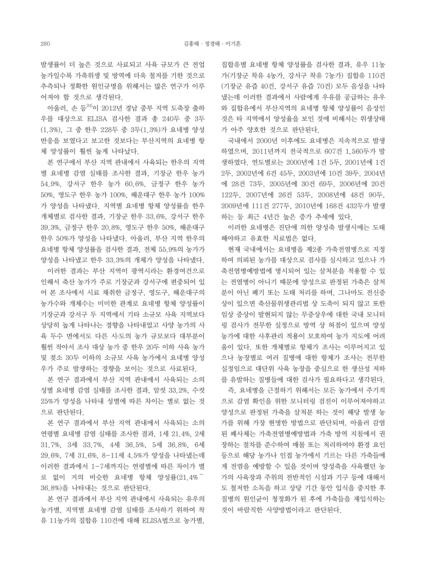발생률이 더 높은 것으로 사료되고 사육 규모가 큰 전업 농가일수록 가축위생 및 방역에 더욱 철저를 기한 것으로 추측되나 정확한 원인규명을 위해서는 많은 연구가 이루 어져야 할 것으로 생각된다.

 아울러, 손 등24)이 2012년 경남 중부 지역 도축장 출하 우를 대상으로 ELISA 검사한 결과 총 240두 중 3두 (1.3%), 그 중 한우 228두 중 3두(1.3%)가 요네병 양성 반응을 보였다고 보고한 것보다는 부산지역의 요네병 항 체 양성률이 훨씬 높게 나타났다.

 본 연구에서 부산 지역 관내에서 사육되는 한우의 지역 별 요네병 감염 실태를 조사한 결과, 기장군 한우 농가 54.9%, 강서구 한우 농가 60.6%, 금정구 한우 농가 50%, 영도구 한우 농가 100%, 해운대구 한우 농가 100% 가 양성을 나타냈다. 지역별 요네병 항체 양성률을 한우 개체별로 검사한 결과, 기장군 한우 33.6%, 강서구 한우 39.3%, 금정구 한우 20.8%, 영도구 한우 50%, 해운대구 한우 50%가 양성을 나타냈다. 아울러, 부산 지역 한우의 요네병 항체 양성률을 검사한 결과, 전체 55.9%의 농가가 양성을 나타냈고 한우 33.3%의 개체가 양성을 나타냈다.

 이러한 결과는 부산 지역이 광역시라는 환경여건으로 인해서 축산 농가가 주로 기장군과 강서구에 편중되어 있 어 본 조사에서 시료 채취한 금정구, 영도구, 해운대구의 농가수와 개체수는 미미한 관계로 요네병 항체 양성률이 기장군과 강서구 두 지역에서 기타 소규모 사육 지역보다 상당히 높게 나타나는 경향을 나타내었고 사양 농가의 사 육 두수 면에서도 다른 시․도의 농가 규모보다 대부분이 훨씬 작아서 조사 대상 농가 중 한우 20두 이하 사육 농가 및 젖소 30두 이하의 소규모 사육 농가에서 요네병 양성 우가 주로 발생하는 경향을 보이는 것으로 사료된다.

 본 연구 결과에서 부산 지역 관내에서 사육되는 소의 성별 요네병 감염 실태를 조사한 결과, 암컷 33.2%, 수컷 25%가 양성을 나타내 성별에 따른 차이는 별로 없는 것 으로 판단된다.

 본 연구 결과에서 부산 지역 관내에서 사육되는 소의 연령별 요네병 감염 실태를 조사한 결과, 1세 21.4%, 2세 31.7%, 3세 33.7%, 4세 36.5%, 5세 36.8%, 6세 29.6%, 7세 31.6%, 8-11세 4.5%가 양성을 나타냈는데 이러한 결과에서 1-7세까지는 연령별에 따른 차이가 별 로 없이 거의 비슷한 요네병 항체 양성률(21.4% 36.8%)을 나타내는 것으로 판단된다.

 본 연구 결과에서 부산 지역 관내에서 사육되는 유우의 농가별, 지역별 요네병 감염 실태를 조사하기 위하여 착 유 11농가의 집합유 110건에 대해 ELISA법으로 농가별,

집합유별 요네병 항체 양성률을 검사한 결과, 유우 11농 가(기장군 착유 4농가, 강서구 착유 7농가) 집합유 110건 (기장군 유즙 40건, 강서구 유즙 70건) 모두 음성을 나타 냈는데 이러한 결과에서 사람에게 우유를 공급하는 유우 와 집합유에서 부산지역의 요네병 항체 양성률이 음성인 것은 타 지역에서 양성율을 보인 것에 비해서는 위생상태 가 아주 양호한 것으로 판단된다.

 국내에서 2000년 이후에도 요네병은 지속적으로 발생 하였으며, 2011년까지 전국적으로 607건 1,560두가 발 생하였다. 연도별로는 2000년에 1건 5두, 2001년에 1건 2두, 2002년에 6건 45두, 2003년에 10건 39두, 2004년 에 28건 73두, 2005년에 30건 69두, 2006년에 20건 122두, 2007년에 26건 53두, 2008년에 48건 90두, 2009년에 111건 277두, 2010년에 168건 432두가 발생 하는 등 최근 4년간 높은 증가 추세에 있다.

 이러한 요네병은 진단에 의한 양성축 발생시에는 도태 해야하고 유효한 치료법은 없다.

 현재 국내에서는 요네병을 제2종 가축전염병으로 지정 하여 의뢰된 농가를 대상으로 검사를 실시하고 있으나 가 축전염병예방법에 명시되어 있는 살처분을 적용할 수 있 는 전염병이 아니기 때문에 양성으로 판정된 가축은 살처 분이 아닌 폐기 또는 도태 처리를 하며, 그나마도 전신증 상이 있으면 축산물위생관리법 상 도축이 되지 않고 또한 임상 증상이 발현되지 않는 무증상우에 대한 국내 모니터 링 검사가 전무한 실정으로 방역 상 허점이 있으며 양성 농가에 대한 사후관리 적용이 모호하여 농가 지도에 어려 움이 있다. 또한 개체별로 항체가 조사는 이루어지고 있 으나 농장별로 여러 질병에 대한 항체가 조사는 전무한 실정임으로 대단위 사육 농장을 중심으로 한 생산성 저하 를 유발하는 질병들에 대한 검사가 필요하다고 생각된다.

 즉, 요네병을 근절하기 위해서는 모든 농가에서 주기적 으로 감염 확인을 위한 모니터링 검진이 이루어져야하고 양성으로 판정된 가축을 살처분 하는 것이 해당 발생 농 가를 위해 가장 현명한 방법으로 판단되며, 아울러 감염 된 폐사체는 가축전염병예방법과 가축 방역 지침에서 권 장하는 절차를 준수하여 매몰 또는 처리하여야 환경 요인 등으로 해당 농가나 인접 농가에서 기르는 다른 가축들에 게 전염을 예방할 수 있을 것이며 양성축을 사육했던 농 가의 사육장과 주위의 전반적인 시설과 기구 등에 대해서 도 철저한 소독을 하고 상당 기간 동안 입식을 중지한 후 질병의 원인균이 청정화가 된 후에 가축들을 재입식하는 것이 바람직한 사양방법이라고 판단된다.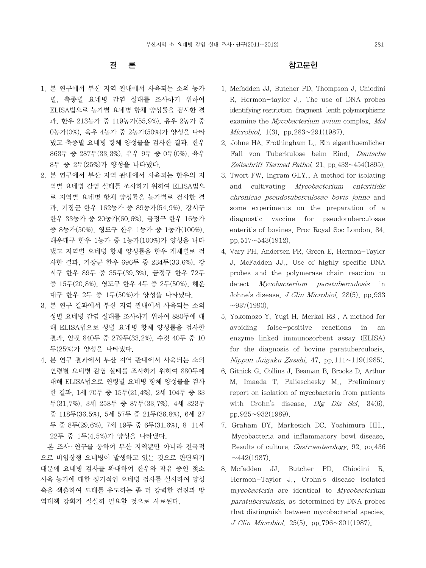# 결 론

- 1. 본 연구에서 부산 지역 관내에서 사육되는 소의 농가 별, 축종별 요네병 감염 실태를 조사하기 위하여 ELISA법으로 농가별 요네병 항체 양성률을 검사한 결 과, 한우 213농가 중 119농가(55.9%), 유우 2농가 중 0농가(0%), 육우 4농가 중 2농가(50%)가 양성을 나타 냈고 축종별 요네병 항체 양성률을 검사한 결과, 한우 863두 중 287두(33.3%), 유우 9두 중 0두(0%), 육우 8두 중 2두(25%)가 양성을 나타냈다.
- 2. 본 연구에서 부산 지역 관내에서 사육되는 한우의 지 역별 요네병 감염 실태를 조사하기 위하여 ELISA법으 로 지역별 요네병 항체 양성률을 농가별로 검사한 결 과, 기장군 한우 162농가 중 89농가(54.9%), 강서구 한우 33농가 중 20농가(60.6%), 금정구 한우 16농가 중 8농가(50%), 영도구 한우 1농가 중 1농가(100%), 해운대구 한우 1농가 중 1농가(100%)가 양성을 나타 냈고 지역별 요네병 항체 양성률을 한우 개체별로 검 사한 결과, 기장군 한우 696두 중 234두(33.6%), 강 서구 한우 89두 중 35두(39.3%), 금정구 한우 72두 중 15두(20.8%), 영도구 한우 4두 중 2두(50%), 해운 대구 한우 2두 중 1두(50%)가 양성을 나타냈다.
- 3. 본 연구 결과에서 부산 지역 관내에서 사육되는 소의 성별 요네병 감염 실태를 조사하기 위하여 880두에 대 해 ELISA법으로 성별 요네병 항체 양성률을 검사한 결과, 암컷 840두 중 279두(33.2%), 수컷 40두 중 10 두(25%)가 양성을 나타냈다.
- 4. 본 연구 결과에서 부산 지역 관내에서 사육되는 소의 연령별 요네병 감염 실태를 조사하기 위하여 880두에 대해 ELISA법으로 연령별 요네병 항체 양성률을 검사 한 결과, 1세 70두 중 15두(21.4%), 2세 104두 중 33 두(31.7%), 3세 258두 중 87두(33.7%), 4세 323두 중 118두(36.5%), 5세 57두 중 21두(36.8%), 6세 27 두 중 8두(29.6%), 7세 19두 중 6두(31.6%), 8-11세 22두 중 1두(4.5%)가 양성을 나타냈다.

 본 조사 ․ 연구를 통하여 부산 지역뿐만 아니라 전국적 으로 비임상형 요네병이 발생하고 있는 것으로 판단되기 때문에 요네병 검사를 확대하여 한우와 착유 중인 젖소 사육 농가에 대한 정기적인 요네병 검사를 실시하여 양성 축을 색출하여 도태를 유도하는 좀 더 강력한 검진과 방 역대책 강화가 절실히 필요할 것으로 사료된다.

# 참고문헌

- 1. Mcfadden JJ, Butcher PD, Thompson J, Chiodini R, Hermon-taylor J., The use of DNA probes identifying restriction-fragment-lenth polymorphisms examine the Mycobacterium avium complex, Mol Microbiol, 1(3), pp.283~291(1987).
- 2. Johne HA, Frothingham L., Ein eigenthuemlicher Fall von Tuberkulose beim Rind, Deutsche Zeitschrift Tiermed Pathol, 21, pp.438~454(1895).
- 3. Twort FW, Ingram GLY., A method for isolating and cultivating Mycobacterium enteritidis chronicae pseudotuberculosae bovis johne and some experiments on the preparation of a diagnostic vaccine for pseudotuberculosae enteritis of bovines, Proc Royal Soc London, 84, pp. $517 \sim 543(1912)$ .
- 4. Vary PH, Andersen PR, Green E, Hermon-Taylor J, McFadden JJ., Use of highly specific DNA probes and the polymerase chain reaction to detect Mycobacterium paratuberculosis in Johne's disease, J Clin Microbiol, 28(5), pp.933  $\sim$ 937(1990).
- 5. Yokomozo Y, Yugi H, Merkal RS., A method for avoiding false-positive reactions in an enzyme-linked immunosorbent assay (ELISA) for the diagnosis of bovine paratuberculosis, Nippon Juigaku Zasshi, 47, pp.111~119(1985).
- 6. Gitnick G, Collins J, Beaman B, Brooks D, Arthur M, Imaeda T, Palieschesky M., Preliminary report on isolation of mycobacteria from patients with Crohn's disease,  $\dot{D}ig$  Dis Sci, 34(6), pp.925~932(1989).
- 7. Graham DY, Markesich DC, Yoshimura HH., Mycobacteria and inflammatory bowl disease, Results of culture, Gastroenterology, 92, pp.436  $\sim$ 442(1987).
- 8. Mcfadden JJ, Butcher PD, Chiodini R, Hermon-Taylor J., Crohn's disease isolated mycobacteria are identical to Mycobacterium paratuberculosis, as determined by DNA probes that distinguish between mycobacterial species, J Clin Microbiol, 25(5), pp.796~801(1987).